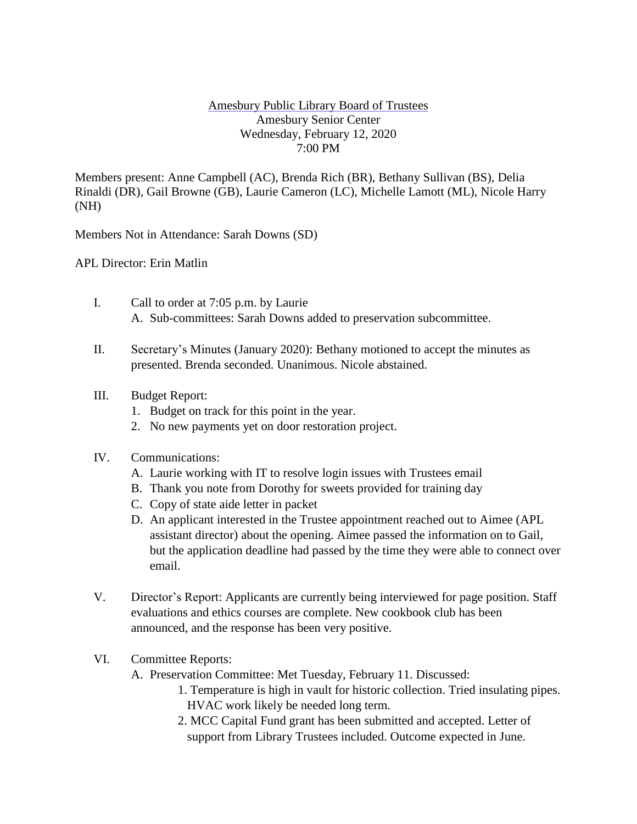## Amesbury Public Library Board of Trustees Amesbury Senior Center Wednesday, February 12, 2020 7:00 PM

Members present: Anne Campbell (AC), Brenda Rich (BR), Bethany Sullivan (BS), Delia Rinaldi (DR), Gail Browne (GB), Laurie Cameron (LC), Michelle Lamott (ML), Nicole Harry (NH)

Members Not in Attendance: Sarah Downs (SD)

APL Director: Erin Matlin

- I. Call to order at 7:05 p.m. by Laurie A. Sub-committees: Sarah Downs added to preservation subcommittee.
- II. Secretary's Minutes (January 2020): Bethany motioned to accept the minutes as presented. Brenda seconded. Unanimous. Nicole abstained.
- III. Budget Report:
	- 1. Budget on track for this point in the year.
	- 2. No new payments yet on door restoration project.
- IV. Communications:
	- A. Laurie working with IT to resolve login issues with Trustees email
	- B. Thank you note from Dorothy for sweets provided for training day
	- C. Copy of state aide letter in packet
	- D. An applicant interested in the Trustee appointment reached out to Aimee (APL assistant director) about the opening. Aimee passed the information on to Gail, but the application deadline had passed by the time they were able to connect over email.
- V. Director's Report: Applicants are currently being interviewed for page position. Staff evaluations and ethics courses are complete. New cookbook club has been announced, and the response has been very positive.
- VI. Committee Reports:

A. Preservation Committee: Met Tuesday, February 11. Discussed:

- 1. Temperature is high in vault for historic collection. Tried insulating pipes. HVAC work likely be needed long term.
- 2. MCC Capital Fund grant has been submitted and accepted. Letter of support from Library Trustees included. Outcome expected in June.